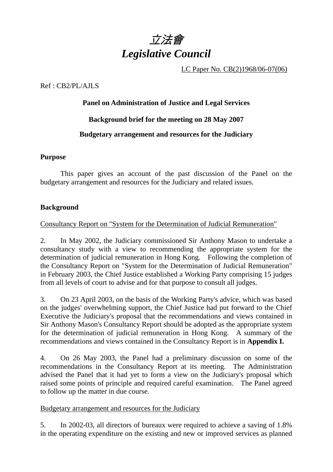

LC Paper No. CB(2)1968/06-07(06)

#### Ref : CB2/PL/AJLS

#### **Panel on Administration of Justice and Legal Services**

### **Background brief for the meeting on 28 May 2007**

### **Budgetary arrangement and resources for the Judiciary**

#### **Purpose**

 This paper gives an account of the past discussion of the Panel on the budgetary arrangement and resources for the Judiciary and related issues.

### **Background**

### Consultancy Report on "System for the Determination of Judicial Remuneration"

2. In May 2002, the Judiciary commissioned Sir Anthony Mason to undertake a consultancy study with a view to recommending the appropriate system for the determination of judicial remuneration in Hong Kong. Following the completion of the Consultancy Report on "System for the Determination of Judicial Remuneration" in February 2003, the Chief Justice established a Working Party comprising 15 judges from all levels of court to advise and for that purpose to consult all judges.

3. On 23 April 2003, on the basis of the Working Party's advice, which was based on the judges' overwhelming support, the Chief Justice had put forward to the Chief Executive the Judiciary's proposal that the recommendations and views contained in Sir Anthony Mason's Consultancy Report should be adopted as the appropriate system for the determination of judicial remuneration in Hong Kong. A summary of the recommendations and views contained in the Consultancy Report is in **Appendix I.** 

4. On 26 May 2003, the Panel had a preliminary discussion on some of the recommendations in the Consultancy Report at its meeting. The Administration advised the Panel that it had yet to form a view on the Judiciary's proposal which raised some points of principle and required careful examination. The Panel agreed to follow up the matter in due course.

### Budgetary arrangement and resources for the Judiciary

5. In 2002-03, all directors of bureaux were required to achieve a saving of 1.8% in the operating expenditure on the existing and new or improved services as planned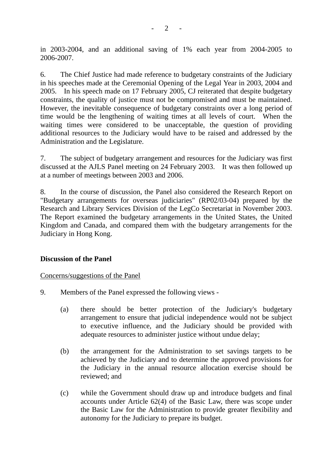in 2003-2004, and an additional saving of 1% each year from 2004-2005 to 2006-2007.

6. The Chief Justice had made reference to budgetary constraints of the Judiciary in his speeches made at the Ceremonial Opening of the Legal Year in 2003, 2004 and 2005. In his speech made on 17 February 2005, CJ reiterated that despite budgetary constraints, the quality of justice must not be compromised and must be maintained. However, the inevitable consequence of budgetary constraints over a long period of time would be the lengthening of waiting times at all levels of court. When the waiting times were considered to be unacceptable, the question of providing additional resources to the Judiciary would have to be raised and addressed by the Administration and the Legislature.

7. The subject of budgetary arrangement and resources for the Judiciary was first discussed at the AJLS Panel meeting on 24 February 2003. It was then followed up at a number of meetings between 2003 and 2006.

8. In the course of discussion, the Panel also considered the Research Report on "Budgetary arrangements for overseas judiciaries" (RP02/03-04) prepared by the Research and Library Services Division of the LegCo Secretariat in November 2003. The Report examined the budgetary arrangements in the United States, the United Kingdom and Canada, and compared them with the budgetary arrangements for the Judiciary in Hong Kong.

#### **Discussion of the Panel**

Concerns/suggestions of the Panel

- 9. Members of the Panel expressed the following views
	- (a) there should be better protection of the Judiciary's budgetary arrangement to ensure that judicial independence would not be subject to executive influence, and the Judiciary should be provided with adequate resources to administer justice without undue delay;
	- (b) the arrangement for the Administration to set savings targets to be achieved by the Judiciary and to determine the approved provisions for the Judiciary in the annual resource allocation exercise should be reviewed; and
	- (c) while the Government should draw up and introduce budgets and final accounts under Article 62(4) of the Basic Law, there was scope under the Basic Law for the Administration to provide greater flexibility and autonomy for the Judiciary to prepare its budget.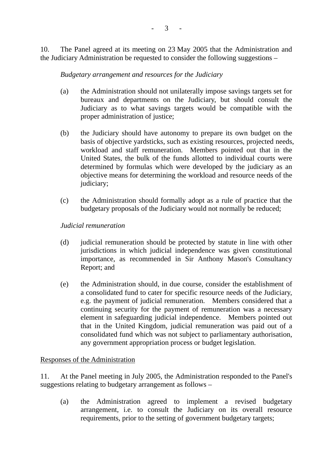10. The Panel agreed at its meeting on 23 May 2005 that the Administration and the Judiciary Administration be requested to consider the following suggestions –

### *Budgetary arrangement and resources for the Judiciary*

- (a) the Administration should not unilaterally impose savings targets set for bureaux and departments on the Judiciary, but should consult the Judiciary as to what savings targets would be compatible with the proper administration of justice;
- (b) the Judiciary should have autonomy to prepare its own budget on the basis of objective yardsticks, such as existing resources, projected needs, workload and staff remuneration. Members pointed out that in the United States, the bulk of the funds allotted to individual courts were determined by formulas which were developed by the judiciary as an objective means for determining the workload and resource needs of the judiciary:
- (c) the Administration should formally adopt as a rule of practice that the budgetary proposals of the Judiciary would not normally be reduced;

## *Judicial remuneration*

- (d) judicial remuneration should be protected by statute in line with other jurisdictions in which judicial independence was given constitutional importance, as recommended in Sir Anthony Mason's Consultancy Report; and
- (e) the Administration should, in due course, consider the establishment of a consolidated fund to cater for specific resource needs of the Judiciary, e.g. the payment of judicial remuneration. Members considered that a continuing security for the payment of remuneration was a necessary element in safeguarding judicial independence. Members pointed out that in the United Kingdom, judicial remuneration was paid out of a consolidated fund which was not subject to parliamentary authorisation, any government appropriation process or budget legislation.

### Responses of the Administration

11. At the Panel meeting in July 2005, the Administration responded to the Panel's suggestions relating to budgetary arrangement as follows –

(a) the Administration agreed to implement a revised budgetary arrangement, i.e. to consult the Judiciary on its overall resource requirements, prior to the setting of government budgetary targets;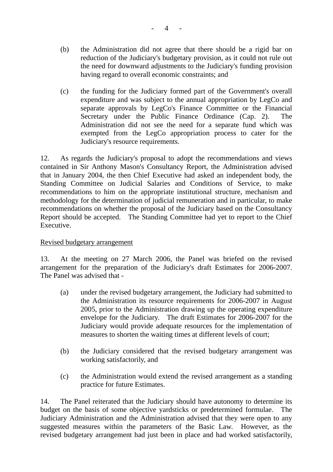- (b) the Administration did not agree that there should be a rigid bar on reduction of the Judiciary's budgetary provision, as it could not rule out the need for downward adjustments to the Judiciary's funding provision having regard to overall economic constraints; and
- (c) the funding for the Judiciary formed part of the Government's overall expenditure and was subject to the annual appropriation by LegCo and separate approvals by LegCo's Finance Committee or the Financial Secretary under the Public Finance Ordinance (Cap. 2). The Administration did not see the need for a separate fund which was exempted from the LegCo appropriation process to cater for the Judiciary's resource requirements.

12. As regards the Judiciary's proposal to adopt the recommendations and views contained in Sir Anthony Mason's Consultancy Report, the Administration advised that in January 2004, the then Chief Executive had asked an independent body, the Standing Committee on Judicial Salaries and Conditions of Service, to make recommendations to him on the appropriate institutional structure, mechanism and methodology for the determination of judicial remuneration and in particular, to make recommendations on whether the proposal of the Judiciary based on the Consultancy Report should be accepted. The Standing Committee had yet to report to the Chief Executive.

### Revised budgetary arrangement

13. At the meeting on 27 March 2006, the Panel was briefed on the revised arrangement for the preparation of the Judiciary's draft Estimates for 2006-2007. The Panel was advised that -

- (a) under the revised budgetary arrangement, the Judiciary had submitted to the Administration its resource requirements for 2006-2007 in August 2005, prior to the Administration drawing up the operating expenditure envelope for the Judiciary. The draft Estimates for 2006-2007 for the Judiciary would provide adequate resources for the implementation of measures to shorten the waiting times at different levels of court;
- (b) the Judiciary considered that the revised budgetary arrangement was working satisfactorily, and
- (c) the Administration would extend the revised arrangement as a standing practice for future Estimates.

14. The Panel reiterated that the Judiciary should have autonomy to determine its budget on the basis of some objective yardsticks or predetermined formulae. The Judiciary Administration and the Administration advised that they were open to any suggested measures within the parameters of the Basic Law. However, as the revised budgetary arrangement had just been in place and had worked satisfactorily,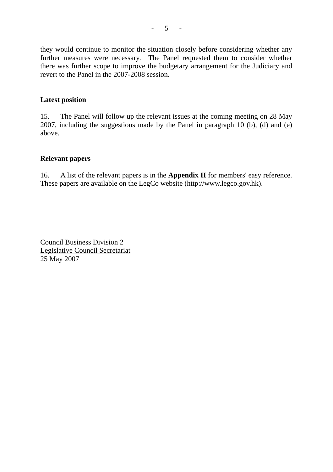they would continue to monitor the situation closely before considering whether any further measures were necessary. The Panel requested them to consider whether there was further scope to improve the budgetary arrangement for the Judiciary and revert to the Panel in the 2007-2008 session.

#### **Latest position**

15. The Panel will follow up the relevant issues at the coming meeting on 28 May 2007, including the suggestions made by the Panel in paragraph 10 (b), (d) and (e) above.

#### **Relevant papers**

16. A list of the relevant papers is in the **Appendix II** for members' easy reference. These papers are available on the LegCo website (http://www.legco.gov.hk).

Council Business Division 2 Legislative Council Secretariat 25 May 2007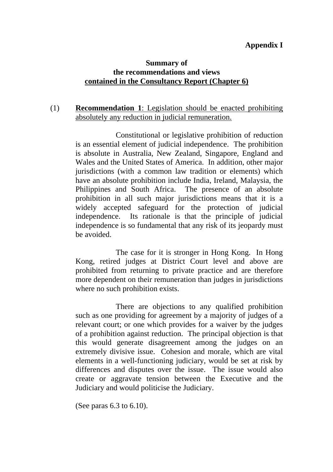## **Appendix I**

# **Summary of the recommendations and views contained in the Consultancy Report (Chapter 6)**

# (1) **Recommendation 1**: Legislation should be enacted prohibiting absolutely any reduction in judicial remuneration.

 Constitutional or legislative prohibition of reduction is an essential element of judicial independence. The prohibition is absolute in Australia, New Zealand, Singapore, England and Wales and the United States of America. In addition, other major jurisdictions (with a common law tradition or elements) which have an absolute prohibition include India, Ireland, Malaysia, the Philippines and South Africa. The presence of an absolute prohibition in all such major jurisdictions means that it is a widely accepted safeguard for the protection of judicial independence. Its rationale is that the principle of judicial independence is so fundamental that any risk of its jeopardy must be avoided.

 The case for it is stronger in Hong Kong. In Hong Kong, retired judges at District Court level and above are prohibited from returning to private practice and are therefore more dependent on their remuneration than judges in jurisdictions where no such prohibition exists.

 There are objections to any qualified prohibition such as one providing for agreement by a majority of judges of a relevant court; or one which provides for a waiver by the judges of a prohibition against reduction. The principal objection is that this would generate disagreement among the judges on an extremely divisive issue. Cohesion and morale, which are vital elements in a well-functioning judiciary, would be set at risk by differences and disputes over the issue. The issue would also create or aggravate tension between the Executive and the Judiciary and would politicise the Judiciary.

(See paras 6.3 to 6.10).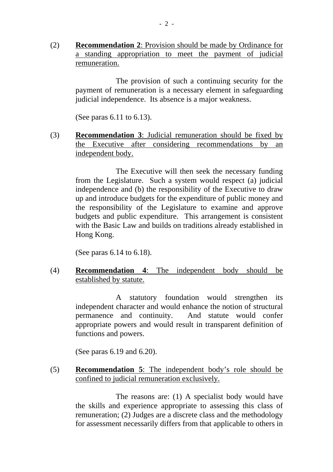(2) **Recommendation 2**: Provision should be made by Ordinance for a standing appropriation to meet the payment of judicial remuneration.

> The provision of such a continuing security for the payment of remuneration is a necessary element in safeguarding judicial independence. Its absence is a major weakness.

(See paras 6.11 to 6.13).

(3) **Recommendation 3**: Judicial remuneration should be fixed by the Executive after considering recommendations by an independent body.

> The Executive will then seek the necessary funding from the Legislature. Such a system would respect (a) judicial independence and (b) the responsibility of the Executive to draw up and introduce budgets for the expenditure of public money and the responsibility of the Legislature to examine and approve budgets and public expenditure. This arrangement is consistent with the Basic Law and builds on traditions already established in Hong Kong.

(See paras 6.14 to 6.18).

(4) **Recommendation 4**: The independent body should be established by statute.

> A statutory foundation would strengthen its independent character and would enhance the notion of structural permanence and continuity. And statute would confer appropriate powers and would result in transparent definition of functions and powers.

(See paras 6.19 and 6.20).

(5) **Recommendation 5**: The independent body's role should be confined to judicial remuneration exclusively.

> The reasons are: (1) A specialist body would have the skills and experience appropriate to assessing this class of remuneration; (2) Judges are a discrete class and the methodology for assessment necessarily differs from that applicable to others in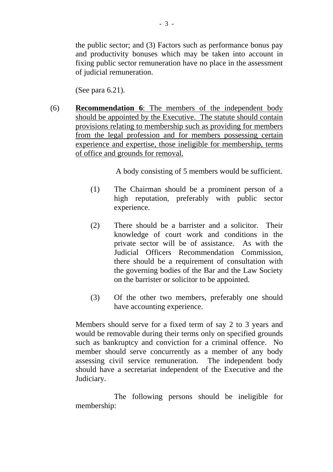the public sector; and (3) Factors such as performance bonus pay and productivity bonuses which may be taken into account in fixing public sector remuneration have no place in the assessment of judicial remuneration.

(See para 6.21).

(6) **Recommendation 6**: The members of the independent body should be appointed by the Executive. The statute should contain provisions relating to membership such as providing for members from the legal profession and for members possessing certain experience and expertise, those ineligible for membership, terms of office and grounds for removal.

A body consisting of 5 members would be sufficient.

- (1) The Chairman should be a prominent person of a high reputation, preferably with public sector experience.
- (2) There should be a barrister and a solicitor. Their knowledge of court work and conditions in the private sector will be of assistance. As with the Judicial Officers Recommendation Commission, there should be a requirement of consultation with the governing bodies of the Bar and the Law Society on the barrister or solicitor to be appointed.
- (3) Of the other two members, preferably one should have accounting experience.

Members should serve for a fixed term of say 2 to 3 years and would be removable during their terms only on specified grounds such as bankruptcy and conviction for a criminal offence. No member should serve concurrently as a member of any body assessing civil service remuneration. The independent body should have a secretariat independent of the Executive and the Judiciary.

 The following persons should be ineligible for membership: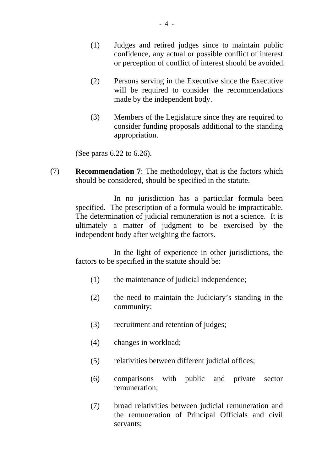- (1) Judges and retired judges since to maintain public confidence, any actual or possible conflict of interest or perception of conflict of interest should be avoided.
- (2) Persons serving in the Executive since the Executive will be required to consider the recommendations made by the independent body.
- (3) Members of the Legislature since they are required to consider funding proposals additional to the standing appropriation.

(See paras 6.22 to 6.26).

### (7) **Recommendation 7**: The methodology, that is the factors which should be considered, should be specified in the statute.

 In no jurisdiction has a particular formula been specified. The prescription of a formula would be impracticable. The determination of judicial remuneration is not a science. It is ultimately a matter of judgment to be exercised by the independent body after weighing the factors.

 In the light of experience in other jurisdictions, the factors to be specified in the statute should be:

- (1) the maintenance of judicial independence;
- (2) the need to maintain the Judiciary's standing in the community;
- (3) recruitment and retention of judges;
- (4) changes in workload;
- (5) relativities between different judicial offices;
- (6) comparisons with public and private sector remuneration;
- (7) broad relativities between judicial remuneration and the remuneration of Principal Officials and civil servants;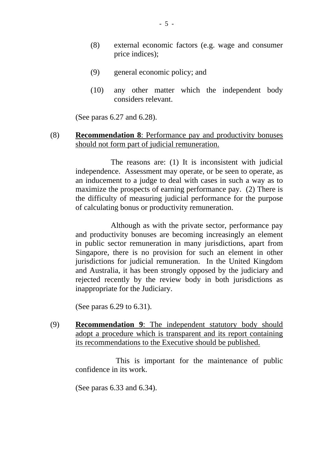- (8) external economic factors (e.g. wage and consumer price indices);
- (9) general economic policy; and
- (10) any other matter which the independent body considers relevant.

(See paras 6.27 and 6.28).

## (8) **Recommendation 8**: Performance pay and productivity bonuses should not form part of judicial remuneration.

 The reasons are: (1) It is inconsistent with judicial independence. Assessment may operate, or be seen to operate, as an inducement to a judge to deal with cases in such a way as to maximize the prospects of earning performance pay. (2) There is the difficulty of measuring judicial performance for the purpose of calculating bonus or productivity remuneration.

 Although as with the private sector, performance pay and productivity bonuses are becoming increasingly an element in public sector remuneration in many jurisdictions, apart from Singapore, there is no provision for such an element in other jurisdictions for judicial remuneration. In the United Kingdom and Australia, it has been strongly opposed by the judiciary and rejected recently by the review body in both jurisdictions as inappropriate for the Judiciary.

(See paras 6.29 to 6.31).

(9) **Recommendation 9**: The independent statutory body should adopt a procedure which is transparent and its report containing its recommendations to the Executive should be published.

> This is important for the maintenance of public confidence in its work.

(See paras 6.33 and 6.34).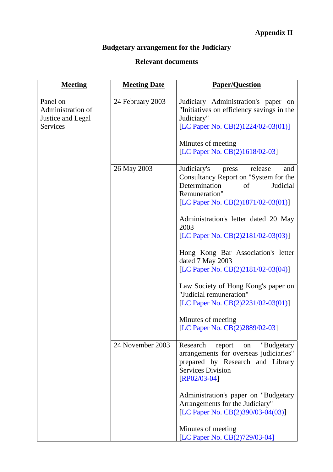# **Budgetary arrangement for the Judiciary**

# **Relevant documents**

| <b>Meeting</b>                                                        | <b>Meeting Date</b> | <b>Paper/Question</b>                                                                                                                                                                        |
|-----------------------------------------------------------------------|---------------------|----------------------------------------------------------------------------------------------------------------------------------------------------------------------------------------------|
| Panel on<br>Administration of<br>Justice and Legal<br><b>Services</b> | 24 February 2003    | Judiciary Administration's paper on<br>"Initiatives on efficiency savings in the<br>Judiciary"<br>[LC Paper No. CB(2)1224/02-03(01)]<br>Minutes of meeting<br>[LC Paper No. CB(2)1618/02-03] |
|                                                                       | 26 May 2003         | Judiciary's<br>release<br>and<br>press<br>Consultancy Report on "System for the<br>Determination<br>Judicial<br>of                                                                           |
|                                                                       |                     | Remuneration"<br>[LC Paper No. CB(2)1871/02-03(01)]                                                                                                                                          |
|                                                                       |                     | Administration's letter dated 20 May<br>2003<br>[LC Paper No. CB(2)2181/02-03(03)]                                                                                                           |
|                                                                       |                     | Hong Kong Bar Association's letter<br>dated 7 May 2003<br>[LC Paper No. CB(2)2181/02-03(04)]                                                                                                 |
|                                                                       |                     | Law Society of Hong Kong's paper on<br>"Judicial remuneration"<br>[LC Paper No. CB(2)2231/02-03(01)]                                                                                         |
|                                                                       |                     | Minutes of meeting<br>[LC Paper No. CB(2)2889/02-03]                                                                                                                                         |
|                                                                       | 24 November 2003    | Research<br>"Budgetary<br>report<br>on<br>arrangements for overseas judiciaries"<br>prepared by Research and Library<br><b>Services Division</b><br>$[RP02/03-04]$                           |
|                                                                       |                     | Administration's paper on "Budgetary<br>Arrangements for the Judiciary"<br>[LC Paper No. CB(2)390/03-04(03)]                                                                                 |
|                                                                       |                     | Minutes of meeting<br>[LC Paper No. CB(2)729/03-04]                                                                                                                                          |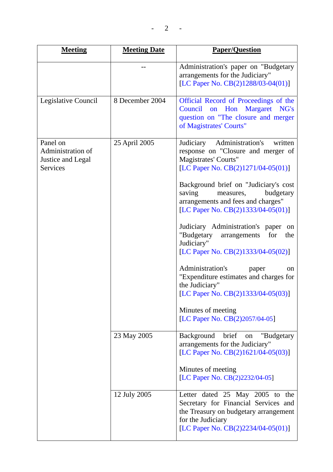$- 2 - -$ 

| <b>Meeting</b>                                                        | <b>Meeting Date</b> | <b>Paper/Question</b>                                                                                                                                                       |
|-----------------------------------------------------------------------|---------------------|-----------------------------------------------------------------------------------------------------------------------------------------------------------------------------|
|                                                                       |                     | Administration's paper on "Budgetary<br>arrangements for the Judiciary"<br>[LC Paper No. CB(2)1288/03-04(01)]                                                               |
| Legislative Council                                                   | 8 December 2004     | Official Record of Proceedings of the<br>Council on Hon<br>Margaret NG's<br>question on "The closure and merger<br>of Magistrates' Courts"                                  |
| Panel on<br>Administration of<br>Justice and Legal<br><b>Services</b> | 25 April 2005       | Administration's<br>Judiciary<br>written<br>response on "Closure and merger of<br>Magistrates' Courts"<br>[LC Paper No. $CB(2)1271/04-05(01)$ ]                             |
|                                                                       |                     | Background brief on "Judiciary's cost<br>saving<br>budgetary<br>measures,<br>arrangements and fees and charges"<br>[LC Paper No. CB(2)1333/04-05(01)]                       |
|                                                                       |                     | Judiciary Administration's paper<br>on<br>"Budgetary<br>for<br>the<br>arrangements<br>Judiciary"<br>[LC Paper No. CB(2)1333/04-05(02)]                                      |
|                                                                       |                     | Administration's<br>paper<br><sub>on</sub><br>"Expenditure estimates and charges for<br>the Judiciary"<br>[LC Paper No. CB(2)1333/04-05(03)]                                |
|                                                                       |                     | Minutes of meeting<br>[LC Paper No. CB(2)2057/04-05]                                                                                                                        |
|                                                                       | 23 May 2005         | Background<br>brief<br>"Budgetary<br>on<br>arrangements for the Judiciary"<br>[LC Paper No. CB(2)1621/04-05(03)]                                                            |
|                                                                       |                     | Minutes of meeting<br>[LC Paper No. CB(2)2232/04-05]                                                                                                                        |
|                                                                       | 12 July 2005        | Letter dated 25 May 2005 to the<br>Secretary for Financial Services and<br>the Treasury on budgetary arrangement<br>for the Judiciary<br>[LC Paper No. CB(2)2234/04-05(01)] |